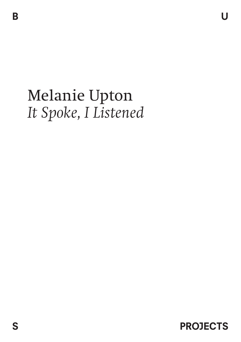## Melanie Upton *It Spoke, I Listened*

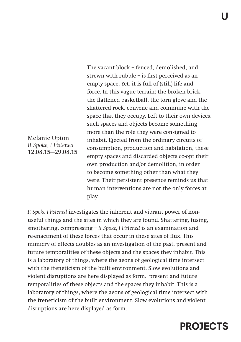The vacant block – fenced, demolished, and strewn with rubble – is first perceived as an empty space. Yet, it is full of (still) life and force. In this vague terrain; the broken brick, the flattened basketball, the torn glove and the shattered rock, convene and commune with the space that they occupy. Left to their own devices, such spaces and objects become something more than the role they were consigned to inhabit. Ejected from the ordinary circuits of consumption, production and habitation, these empty spaces and discarded objects co-opt their own production and/or demolition, in order to become something other than what they were. Their persistent presence reminds us that human interventions are not the only forces at play.

*It Spoke I listened* investigates the inherent and vibrant power of nonuseful things and the sites in which they are found. Shattering, fusing, smothering, compressing – *It Spoke, I Listened* is an examination and re-enactment of these forces that occur in these sites of flux. This mimicry of effects doubles as an investigation of the past, present and future temporalities of these objects and the spaces they inhabit. This is a laboratory of things, where the aeons of geological time intersect with the freneticism of the built environment. Slow evolutions and violent disruptions are here displayed as form. present and future temporalities of these objects and the spaces they inhabit. This is a laboratory of things, where the aeons of geological time intersect with the freneticism of the built environment. Slow evolutions and violent disruptions are here displayed as form.



Melanie Upton *It Spoke, I Listened* 12.08.15—29.08.15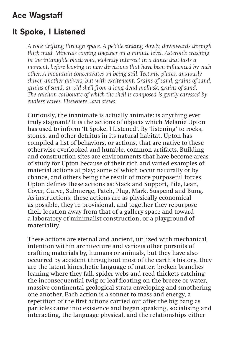## Ace Wagstaff

## It Spoke, I Listened

*A rock drifting through space. A pebble sinking slowly, downwards through thick mud. Minerals coming together on a minute level. Asteroids crashing in the intangible black void, violently intersect in a dance that lasts a moment, before leaving in new directions that have been influenced by each other. A mountain concentrates on being still. Tectonic plates, anxiously shiver, another quivers, but with excitement. Grains of sand, grains of sand, grains of sand, an old shell from a long dead mollusk, grains of sand. The calcium carbonate of which the shell is composed is gently caressed by endless waves. Elsewhere: lava stews.*

Curiously, the inanimate is actually animate: is anything ever truly stagnant? It is the actions of objects which Melanie Upton has used to inform 'It Spoke, I Listened'. By 'listening' to rocks, stones, and other detritus in its natural habitat, Upton has compiled a list of behaviors, or actions, that are native to these otherwise overlooked and humble, common artifacts. Building and construction sites are environments that have become areas of study for Upton because of their rich and varied examples of material actions at play; some of which occur naturally or by chance, and others being the result of more purposeful forces. Upton defines these actions as: Stack and Support, Pile, Lean, Cover, Curve, Submerge, Patch, Plug, Mark, Suspend and Bung. As instructions, these actions are as physically economical as possible, they're provisional, and together they repurpose their location away from that of a gallery space and toward a laboratory of minimalist construction, or a playground of materiality.

These actions are eternal and ancient, utilized with mechanical intention within architecture and various other pursuits of crafting materials by, humans or animals, but they have also occurred by accident throughout most of the earth's history, they are the latent kinesthetic language of matter: broken branches leaning where they fall, spider webs and reed thickets catching the inconsequential twig or leaf floating on the breeze or water, massive continental geological strata enveloping and smothering one another. Each action is a sonnet to mass and energy, a repetition of the first actions carried out after the big bang as particles came into existence and began speaking, socialising and interacting, the language physical, and the relationships either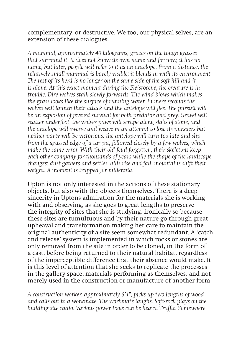complementary, or destructive. We too, our physical selves, are an extension of these dialogues.

*A mammal, approximately 40 kilograms, grazes on the tough grasses that surround it. It does not know its own name and for now, it has no name, but later, people will refer to it as an antelope. From a distance, the relatively small mammal is barely visible; it blends in with its environment. The rest of its herd is no longer on the same side of the soft hill and it is alone. At this exact moment during the Pleistocene, the creature is in trouble. Dire wolves stalk slowly forwards. The wind blows which makes the grass looks like the surface of running water. In mere seconds the*  wolves will launch their attack and the antelope will flee. The pursuit will *be an explosion of fevered survival for both predator and prey. Gravel will scatter underfoot, the wolves paws will scrape along slabs of stone, and the antelope will swerve and weave in an attempt to lose its pursuers but neither party will be victorious: the antelope will turn too late and slip from the grassed edge of a tar pit, followed closely by a few wolves, which make the same error. With their old feud forgotten, their skeletons keep each other company for thousands of years while the shape of the landscape changes: dust gathers and settles, hills rise and fall, mountains shift their weight. A moment is trapped for millennia.*

Upton is not only interested in the actions of these stationary objects, but also with the objects themselves. There is a deep sincerity in Uptons admiration for the materials she is working with and observing, as she goes to great lengths to preserve the integrity of sites that she is studying, ironically so because these sites are tumultuous and by their nature go through great upheaval and transformation making her care to maintain the original authenticity of a site seem somewhat redundant. A 'catch and release' system is implemented in which rocks or stones are only removed from the site in order to be cloned, in the form of a cast, before being returned to their natural habitat, regardless of the imperceptible difference that their absence would make. It is this level of attention that she seeks to replicate the processes in the gallery space: materials performing as themselves, and not merely used in the construction or manufacture of another form.

*A construction worker, approximately 6'4", picks up two lengths of wood and calls out to a workmate. The workmate laughs. Soft-rock plays on the building site radio. Various power tools can be heard. Traffic. Somewhere*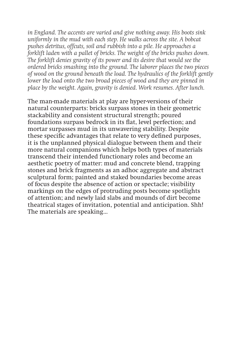*in England. The accents are varied and give nothing away. His boots sink uniformly in the mud with each step. He walks across the site. A bobcat pushes detritus, offcuts, soil and rubbish into a pile. He approaches a forklift laden with a pallet of bricks. The weight of the bricks pushes down. The forklift denies gravity of its power and its desire that would see the ordered bricks smashing into the ground. The laborer places the two pieces of wood on the ground beneath the load. The hydraulics of the forklift gently lower the load onto the two broad pieces of wood and they are pinned in place by the weight. Again, gravity is denied. Work resumes. After lunch.* 

The man-made materials at play are hyper-versions of their natural counterparts: bricks surpass stones in their geometric stackability and consistent structural strength; poured foundations surpass bedrock in its flat, level perfection; and mortar surpasses mud in its unwavering stability. Despite these specific advantages that relate to very defined purposes, it is the unplanned physical dialogue between them and their more natural companions which helps both types of materials transcend their intended functionary roles and become an aesthetic poetry of matter: mud and concrete blend, trapping stones and brick fragments as an adhoc aggregate and abstract sculptural form; painted and staked boundaries become areas of focus despite the absence of action or spectacle; visibility markings on the edges of protruding posts become spotlights of attention; and newly laid slabs and mounds of dirt become theatrical stages of invitation, potential and anticipation. Shh! The materials are speaking…